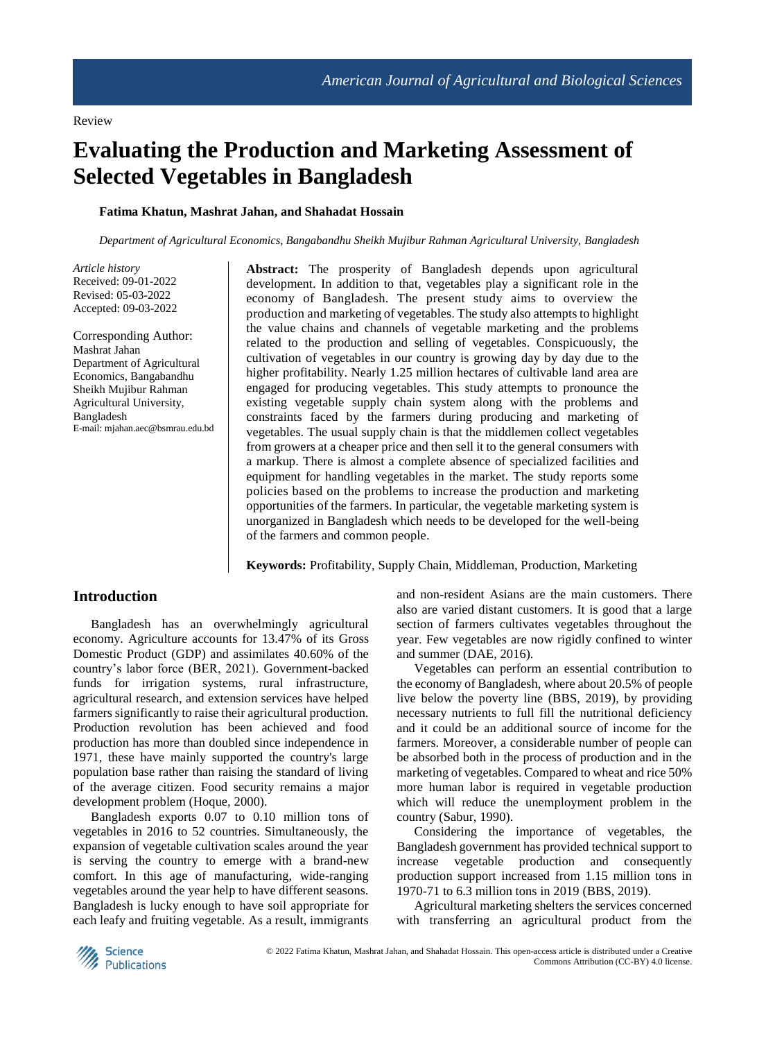# **Evaluating the Production and Marketing Assessment of Selected Vegetables in Bangladesh**

# **Fatima Khatun, Mashrat Jahan, and Shahadat Hossain**

*Department of Agricultural Economics, Bangabandhu Sheikh Mujibur Rahman Agricultural University, Bangladesh*

*Article history* Received: 09-01-2022 Revised: 05-03-2022 Accepted: 09-03-2022

Corresponding Author: Mashrat Jahan Department of Agricultural Economics, Bangabandhu Sheikh Mujibur Rahman Agricultural University, Bangladesh E-mail: mjahan.aec@bsmrau.edu.bd **Abstract:** The prosperity of Bangladesh depends upon agricultural development. In addition to that, vegetables play a significant role in the economy of Bangladesh. The present study aims to overview the production and marketing of vegetables. The study also attempts to highlight the value chains and channels of vegetable marketing and the problems related to the production and selling of vegetables. Conspicuously, the cultivation of vegetables in our country is growing day by day due to the higher profitability. Nearly 1.25 million hectares of cultivable land area are engaged for producing vegetables. This study attempts to pronounce the existing vegetable supply chain system along with the problems and constraints faced by the farmers during producing and marketing of vegetables. The usual supply chain is that the middlemen collect vegetables from growers at a cheaper price and then sell it to the general consumers with a markup. There is almost a complete absence of specialized facilities and equipment for handling vegetables in the market. The study reports some policies based on the problems to increase the production and marketing opportunities of the farmers. In particular, the vegetable marketing system is unorganized in Bangladesh which needs to be developed for the well-being of the farmers and common people.

**Keywords:** Profitability, Supply Chain, Middleman, Production, Marketing

# **Introduction**

Bangladesh has an overwhelmingly agricultural economy. Agriculture accounts for 13.47% of its Gross Domestic Product (GDP) and assimilates 40.60% of the country's labor force (BER, 2021). Government-backed funds for irrigation systems, rural infrastructure, agricultural research, and extension services have helped farmers significantly to raise their agricultural production. Production revolution has been achieved and food production has more than doubled since independence in 1971, these have mainly supported the country's large population base rather than raising the standard of living of the average citizen. Food security remains a major development problem (Hoque, 2000).

Bangladesh exports 0.07 to 0.10 million tons of vegetables in 2016 to 52 countries. Simultaneously, the expansion of vegetable cultivation scales around the year is serving the country to emerge with a brand-new comfort. In this age of manufacturing, wide-ranging vegetables around the year help to have different seasons. Bangladesh is lucky enough to have soil appropriate for each leafy and fruiting vegetable. As a result, immigrants and non-resident Asians are the main customers. There also are varied distant customers. It is good that a large section of farmers cultivates vegetables throughout the year. Few vegetables are now rigidly confined to winter and summer (DAE, 2016).

Vegetables can perform an essential contribution to the economy of Bangladesh, where about 20.5% of people live below the poverty line (BBS, 2019), by providing necessary nutrients to full fill the nutritional deficiency and it could be an additional source of income for the farmers. Moreover, a considerable number of people can be absorbed both in the process of production and in the marketing of vegetables. Compared to wheat and rice 50% more human labor is required in vegetable production which will reduce the unemployment problem in the country (Sabur, 1990).

Considering the importance of vegetables, the Bangladesh government has provided technical support to increase vegetable production and consequently production support increased from 1.15 million tons in 1970-71 to 6.3 million tons in 2019 (BBS, 2019).

Agricultural marketing shelters the services concerned with transferring an agricultural product from the

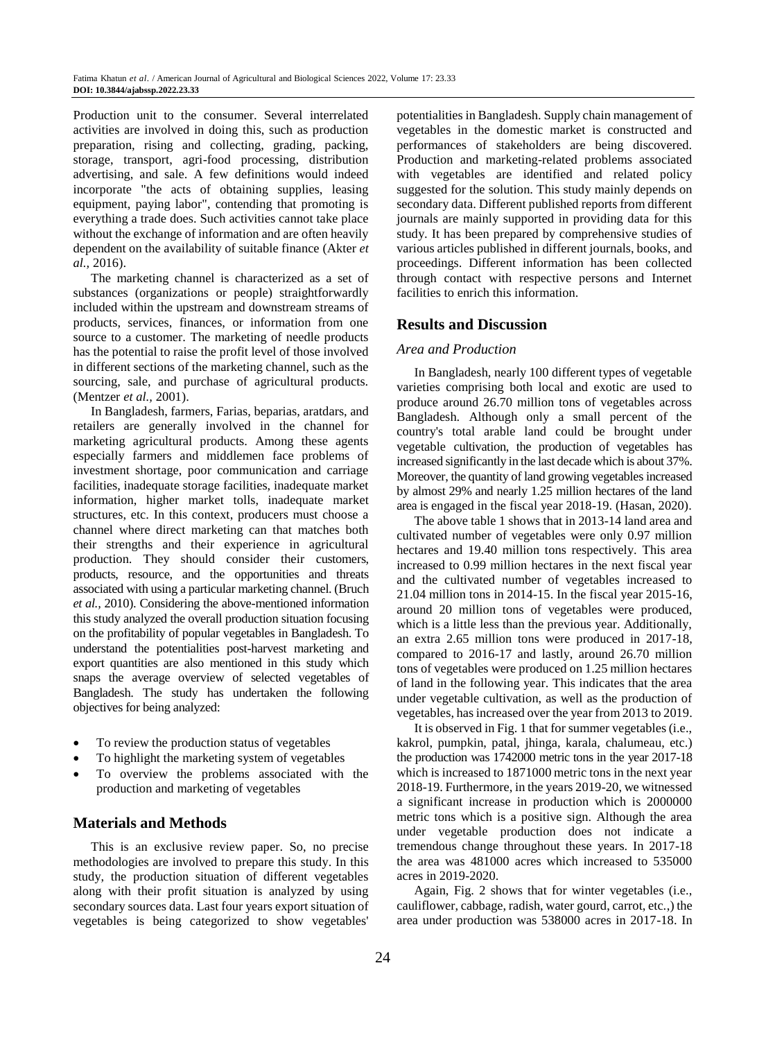Production unit to the consumer. Several interrelated activities are involved in doing this, such as production preparation, rising and collecting, grading, packing, storage, transport, agri-food processing, distribution advertising, and sale. A few definitions would indeed incorporate "the acts of obtaining supplies, leasing equipment, paying labor", contending that promoting is everything a trade does. Such activities cannot take place without the exchange of information and are often heavily dependent on the availability of suitable finance (Akter *et al.,* 2016).

The marketing channel is characterized as a set of substances (organizations or people) straightforwardly included within the upstream and downstream streams of products, services, finances, or information from one source to a customer. The marketing of needle products has the potential to raise the profit level of those involved in different sections of the marketing channel, such as the sourcing, sale, and purchase of agricultural products. (Mentzer *et al.,* 2001).

In Bangladesh, farmers, Farias, beparias, aratdars, and retailers are generally involved in the channel for marketing agricultural products. Among these agents especially farmers and middlemen face problems of investment shortage, poor communication and carriage facilities, inadequate storage facilities, inadequate market information, higher market tolls, inadequate market structures, etc. In this context, producers must choose a channel where direct marketing can that matches both their strengths and their experience in agricultural production. They should consider their customers, products, resource, and the opportunities and threats associated with using a particular marketing channel. (Bruch *et al.,* 2010). Considering the above-mentioned information this study analyzed the overall production situation focusing on the profitability of popular vegetables in Bangladesh. To understand the potentialities post-harvest marketing and export quantities are also mentioned in this study which snaps the average overview of selected vegetables of Bangladesh. The study has undertaken the following objectives for being analyzed:

- To review the production status of vegetables
- To highlight the marketing system of vegetables
- To overview the problems associated with the production and marketing of vegetables

# **Materials and Methods**

This is an exclusive review paper. So, no precise methodologies are involved to prepare this study. In this study, the production situation of different vegetables along with their profit situation is analyzed by using secondary sources data. Last four years export situation of vegetables is being categorized to show vegetables' potentialities in Bangladesh. Supply chain management of vegetables in the domestic market is constructed and performances of stakeholders are being discovered. Production and marketing-related problems associated with vegetables are identified and related policy suggested for the solution. This study mainly depends on secondary data. Different published reports from different journals are mainly supported in providing data for this study. It has been prepared by comprehensive studies of various articles published in different journals, books, and proceedings. Different information has been collected through contact with respective persons and Internet facilities to enrich this information.

# **Results and Discussion**

#### *Area and Production*

In Bangladesh, nearly 100 different types of vegetable varieties comprising both local and exotic are used to produce around 26.70 million tons of vegetables across Bangladesh. Although only a small percent of the country's total arable land could be brought under vegetable cultivation, the production of vegetables has increased significantly in the last decade which is about 37%. Moreover, the quantity of land growing vegetables increased by almost 29% and nearly 1.25 million hectares of the land area is engaged in the fiscal year 2018-19. (Hasan, 2020).

The above table 1 shows that in 2013-14 land area and cultivated number of vegetables were only 0.97 million hectares and 19.40 million tons respectively. This area increased to 0.99 million hectares in the next fiscal year and the cultivated number of vegetables increased to 21.04 million tons in 2014-15. In the fiscal year 2015-16, around 20 million tons of vegetables were produced, which is a little less than the previous year. Additionally, an extra 2.65 million tons were produced in 2017-18, compared to 2016-17 and lastly, around 26.70 million tons of vegetables were produced on 1.25 million hectares of land in the following year. This indicates that the area under vegetable cultivation, as well as the production of vegetables, has increased over the year from 2013 to 2019.

It is observed in Fig. 1 that for summer vegetables (i.e., kakrol, pumpkin, patal, jhinga, karala, chalumeau, etc.) the production was 1742000 metric tons in the year 2017-18 which is increased to 1871000 metric tons in the next year 2018-19. Furthermore, in the years 2019-20, we witnessed a significant increase in production which is 2000000 metric tons which is a positive sign. Although the area under vegetable production does not indicate a tremendous change throughout these years. In 2017-18 the area was 481000 acres which increased to 535000 acres in 2019-2020.

Again, Fig. 2 shows that for winter vegetables (i.e., cauliflower, cabbage, radish, water gourd, carrot, etc.,) the area under production was 538000 acres in 2017-18. In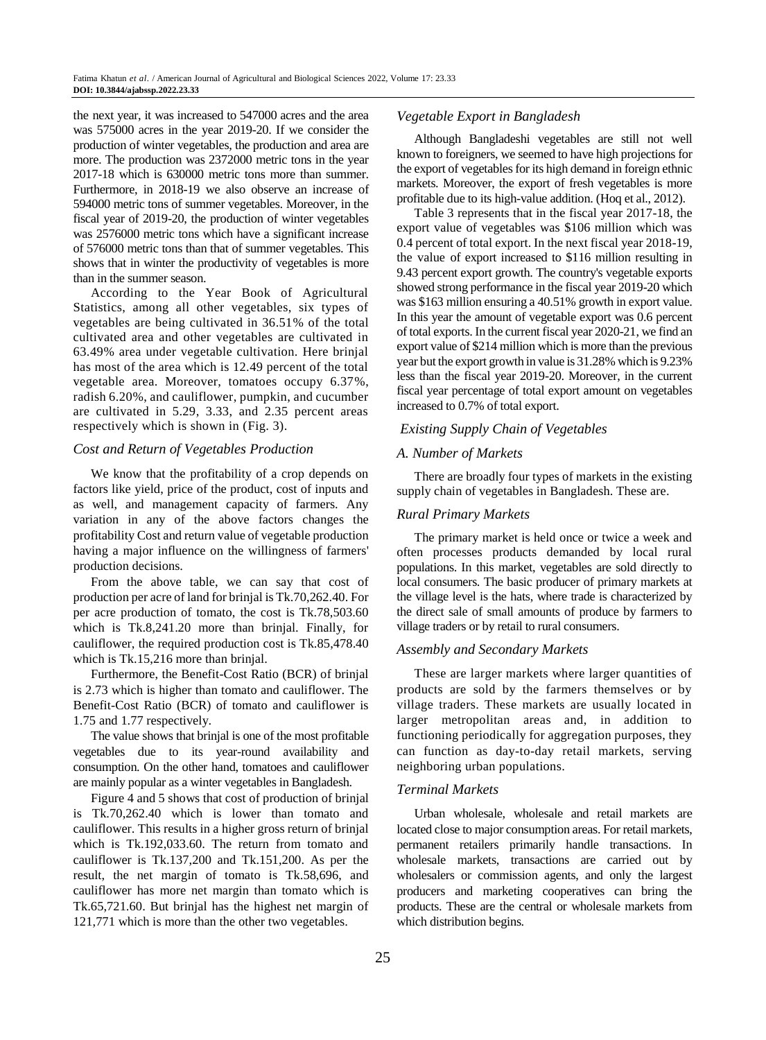the next year, it was increased to 547000 acres and the area was 575000 acres in the year 2019-20. If we consider the production of winter vegetables, the production and area are more. The production was 2372000 metric tons in the year 2017-18 which is 630000 metric tons more than summer. Furthermore, in 2018-19 we also observe an increase of 594000 metric tons of summer vegetables. Moreover, in the fiscal year of 2019-20, the production of winter vegetables was 2576000 metric tons which have a significant increase of 576000 metric tons than that of summer vegetables. This shows that in winter the productivity of vegetables is more than in the summer season.

According to the Year Book of Agricultural Statistics, among all other vegetables, six types of vegetables are being cultivated in 36.51% of the total cultivated area and other vegetables are cultivated in 63.49% area under vegetable cultivation. Here brinjal has most of the area which is 12.49 percent of the total vegetable area. Moreover, tomatoes occupy 6.37%, radish 6.20%, and cauliflower, pumpkin, and cucumber are cultivated in 5.29, 3.33, and 2.35 percent areas respectively which is shown in (Fig. 3).

# *Cost and Return of Vegetables Production*

We know that the profitability of a crop depends on factors like yield, price of the product, cost of inputs and as well, and management capacity of farmers. Any variation in any of the above factors changes the profitability Cost and return value of vegetable production having a major influence on the willingness of farmers' production decisions.

From the above table, we can say that cost of production per acre of land for brinjal is Tk.70,262.40. For per acre production of tomato, the cost is Tk.78,503.60 which is Tk.8,241.20 more than brinjal. Finally, for cauliflower, the required production cost is Tk.85,478.40 which is Tk.15,216 more than brinjal.

Furthermore, the Benefit-Cost Ratio (BCR) of brinjal is 2.73 which is higher than tomato and cauliflower. The Benefit-Cost Ratio (BCR) of tomato and cauliflower is 1.75 and 1.77 respectively.

The value shows that brinjal is one of the most profitable vegetables due to its year-round availability and consumption. On the other hand, tomatoes and cauliflower are mainly popular as a winter vegetables in Bangladesh.

Figure 4 and 5 shows that cost of production of brinjal is Tk.70,262.40 which is lower than tomato and cauliflower. This results in a higher gross return of brinjal which is Tk.192,033.60. The return from tomato and cauliflower is Tk.137,200 and Tk.151,200. As per the result, the net margin of tomato is Tk.58,696, and cauliflower has more net margin than tomato which is Tk.65,721.60. But brinjal has the highest net margin of 121,771 which is more than the other two vegetables.

# *Vegetable Export in Bangladesh*

Although Bangladeshi vegetables are still not well known to foreigners, we seemed to have high projections for the export of vegetables for its high demand in foreign ethnic markets. Moreover, the export of fresh vegetables is more profitable due to its high-value addition. (Hoq et al., 2012).

Table 3 represents that in the fiscal year 2017-18, the export value of vegetables was \$106 million which was 0.4 percent of total export. In the next fiscal year 2018-19, the value of export increased to \$116 million resulting in 9.43 percent export growth. The country's vegetable exports showed strong performance in the fiscal year 2019-20 which was \$163 million ensuring a 40.51% growth in export value. In this year the amount of vegetable export was 0.6 percent of total exports. In the current fiscal year 2020-21, we find an export value of \$214 million which is more than the previous year but the export growth in value is 31.28% which is 9.23% less than the fiscal year 2019-20. Moreover, in the current fiscal year percentage of total export amount on vegetables increased to 0.7% of total export.

## *Existing Supply Chain of Vegetables*

# *A. Number of Markets*

There are broadly four types of markets in the existing supply chain of vegetables in Bangladesh. These are.

## *Rural Primary Markets*

The primary market is held once or twice a week and often processes products demanded by local rural populations. In this market, vegetables are sold directly to local consumers. The basic producer of primary markets at the village level is the hats, where trade is characterized by the direct sale of small amounts of produce by farmers to village traders or by retail to rural consumers.

#### *Assembly and Secondary Markets*

These are larger markets where larger quantities of products are sold by the farmers themselves or by village traders. These markets are usually located in larger metropolitan areas and, in addition to functioning periodically for aggregation purposes, they can function as day-to-day retail markets, serving neighboring urban populations.

#### *Terminal Markets*

Urban wholesale, wholesale and retail markets are located close to major consumption areas. For retail markets, permanent retailers primarily handle transactions. In wholesale markets, transactions are carried out by wholesalers or commission agents, and only the largest producers and marketing cooperatives can bring the products. These are the central or wholesale markets from which distribution begins.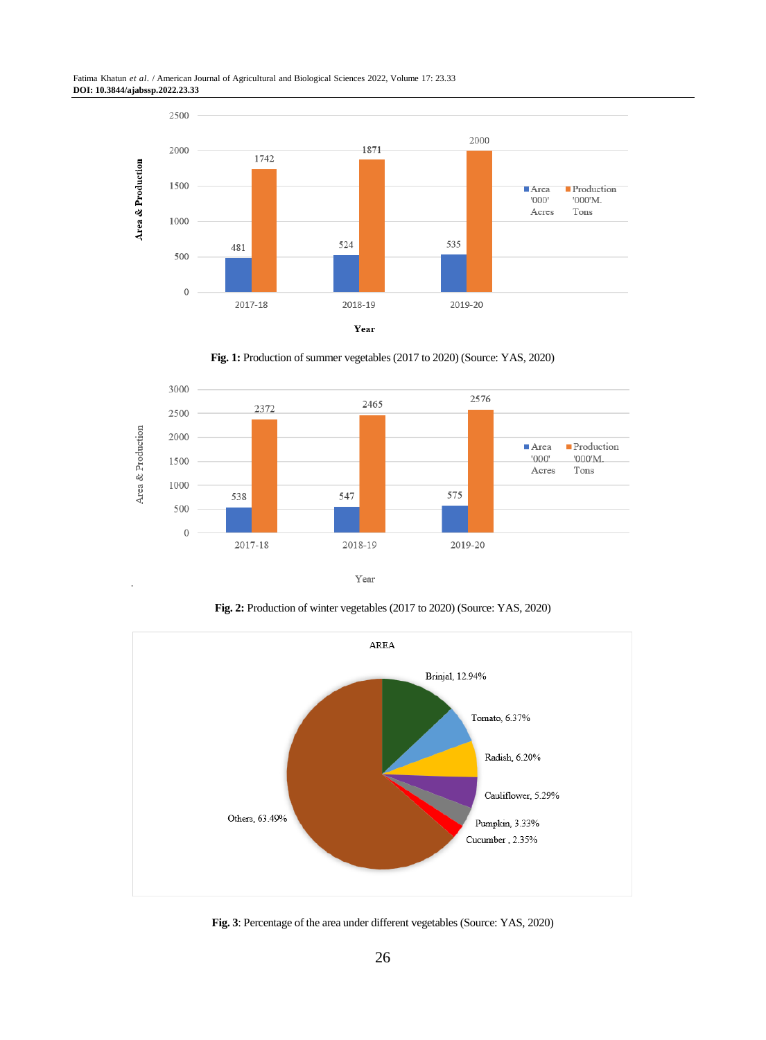

**Fig. 1:** Production of summer vegetables (2017 to 2020) (Source: YAS, 2020)



**Fig. 2:** Production of winter vegetables (2017 to 2020) (Source: YAS, 2020)



**Fig. 3**: Percentage of the area under different vegetables (Source: YAS, 2020)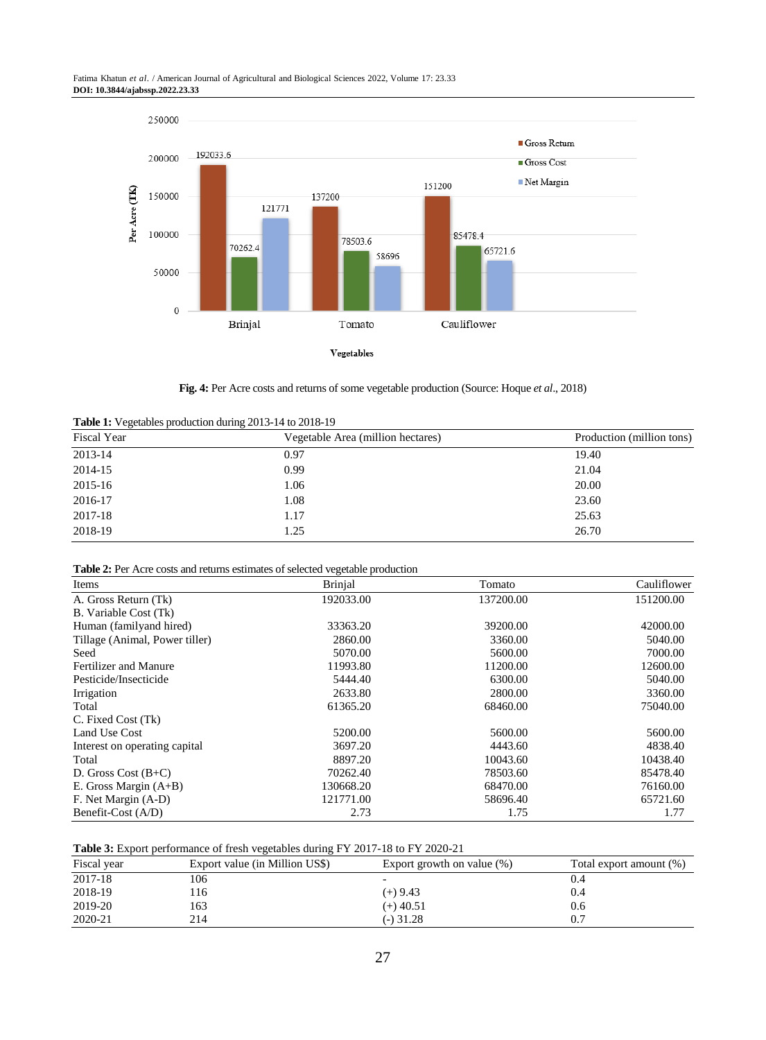Fatima Khatun *et al*. / American Journal of Agricultural and Biological Sciences 2022, Volume 17: 23.33 **DOI: 10.3844/ajabssp.2022.23.33**



**Fig. 4:** Per Acre costs and returns of some vegetable production (Source: Hoque *et al*., 2018)

| Table 1: Vegetables production during 2013-14 to 2018-19 |  |  |  |
|----------------------------------------------------------|--|--|--|
|----------------------------------------------------------|--|--|--|

| Fiscal Year | Vegetable Area (million hectares) | Production (million tons) |  |
|-------------|-----------------------------------|---------------------------|--|
| 2013-14     | 0.97                              | 19.40                     |  |
| 2014-15     | 0.99                              | 21.04                     |  |
| 2015-16     | 1.06                              | 20.00                     |  |
| 2016-17     | 1.08                              | 23.60                     |  |
| 2017-18     | 1.17                              | 25.63                     |  |
| 2018-19     | 1.25                              | 26.70                     |  |

**Table 2:** Per Acre costs and returns estimates of selected vegetable production

| Items                          | <b>Brinjal</b> | Tomato    | Cauliflower |
|--------------------------------|----------------|-----------|-------------|
| A. Gross Return (Tk)           | 192033.00      | 137200.00 | 151200.00   |
| B. Variable Cost (Tk)          |                |           |             |
| Human (familyand hired)        | 33363.20       | 39200.00  | 42000.00    |
| Tillage (Animal, Power tiller) | 2860.00        | 3360.00   | 5040.00     |
| Seed                           | 5070.00        | 5600.00   | 7000.00     |
| Fertilizer and Manure          | 11993.80       | 11200.00  | 12600.00    |
| Pesticide/Insecticide          | 5444.40        | 6300.00   | 5040.00     |
| Irrigation                     | 2633.80        | 2800.00   | 3360.00     |
| Total                          | 61365.20       | 68460.00  | 75040.00    |
| C. Fixed Cost (Tk)             |                |           |             |
| Land Use Cost                  | 5200.00        | 5600.00   | 5600.00     |
| Interest on operating capital  | 3697.20        | 4443.60   | 4838.40     |
| Total                          | 8897.20        | 10043.60  | 10438.40    |
| D. Gross Cost $(B+C)$          | 70262.40       | 78503.60  | 85478.40    |
| E. Gross Margin $(A+B)$        | 130668.20      | 68470.00  | 76160.00    |
| F. Net Margin (A-D)            | 121771.00      | 58696.40  | 65721.60    |
| Benefit-Cost (A/D)             | 2.73           | 1.75      | 1.77        |

**Table 3:** Export performance of fresh vegetables during FY 2017-18 to FY 2020-21

| Fiscal year | Export value (in Million US\$) | Export growth on value $(\%)$ | Total export amount (%) |
|-------------|--------------------------------|-------------------------------|-------------------------|
| 2017-18     | 106                            |                               |                         |
| 2018-19     | . 16                           | (+) 9.43                      | 0.4                     |
| 2019-20     | 163                            | $(+)$ 40.51                   | 0.6                     |
| 2020-21     | 214                            | $(-)$ 31.28                   |                         |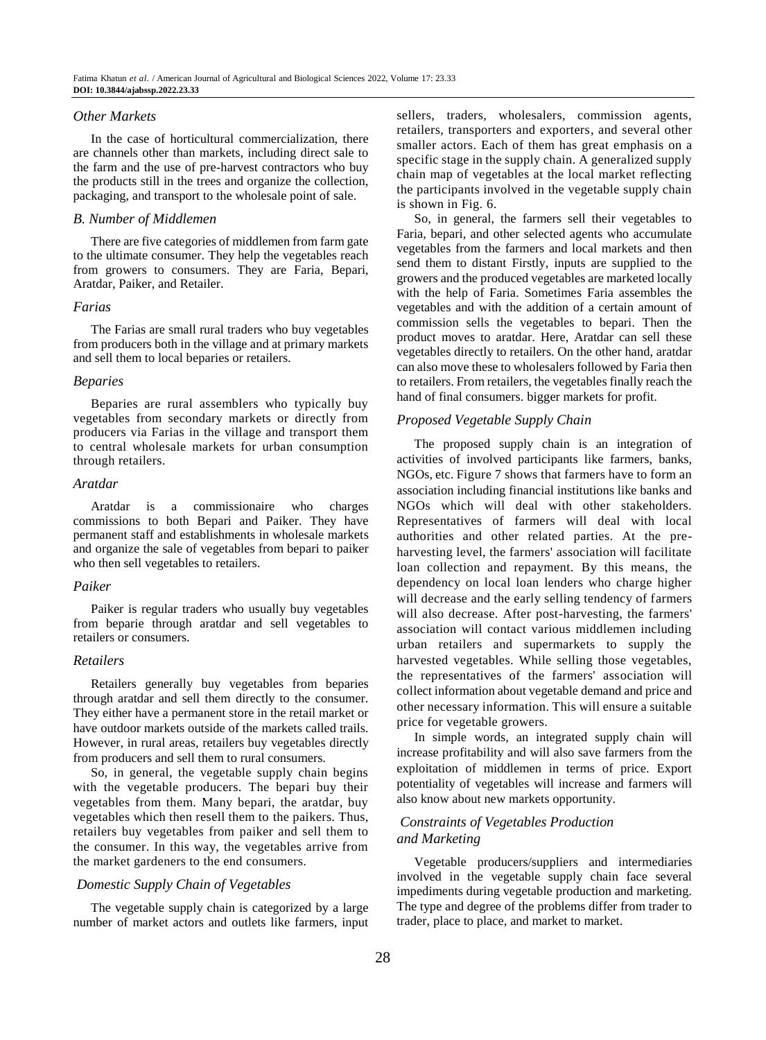# *Other Markets*

In the case of horticultural commercialization, there are channels other than markets, including direct sale to the farm and the use of pre-harvest contractors who buy the products still in the trees and organize the collection, packaging, and transport to the wholesale point of sale.

# *B. Number of Middlemen*

There are five categories of middlemen from farm gate to the ultimate consumer. They help the vegetables reach from growers to consumers. They are Faria, Bepari, Aratdar, Paiker, and Retailer.

#### *Farias*

The Farias are small rural traders who buy vegetables from producers both in the village and at primary markets and sell them to local beparies or retailers.

## *Beparies*

Beparies are rural assemblers who typically buy vegetables from secondary markets or directly from producers via Farias in the village and transport them to central wholesale markets for urban consumption through retailers.

# *Aratdar*

Aratdar is a commissionaire who charges commissions to both Bepari and Paiker. They have permanent staff and establishments in wholesale markets and organize the sale of vegetables from bepari to paiker who then sell vegetables to retailers.

# *Paiker*

Paiker is regular traders who usually buy vegetables from beparie through aratdar and sell vegetables to retailers or consumers.

# *Retailers*

Retailers generally buy vegetables from beparies through aratdar and sell them directly to the consumer. They either have a permanent store in the retail market or have outdoor markets outside of the markets called trails. However, in rural areas, retailers buy vegetables directly from producers and sell them to rural consumers.

So, in general, the vegetable supply chain begins with the vegetable producers. The bepari buy their vegetables from them. Many bepari, the aratdar, buy vegetables which then resell them to the paikers. Thus, retailers buy vegetables from paiker and sell them to the consumer. In this way, the vegetables arrive from the market gardeners to the end consumers.

# *Domestic Supply Chain of Vegetables*

The vegetable supply chain is categorized by a large number of market actors and outlets like farmers, input sellers, traders, wholesalers, commission agents, retailers, transporters and exporters, and several other smaller actors. Each of them has great emphasis on a specific stage in the supply chain. A generalized supply chain map of vegetables at the local market reflecting the participants involved in the vegetable supply chain is shown in Fig. 6.

So, in general, the farmers sell their vegetables to Faria, bepari, and other selected agents who accumulate vegetables from the farmers and local markets and then send them to distant Firstly, inputs are supplied to the growers and the produced vegetables are marketed locally with the help of Faria. Sometimes Faria assembles the vegetables and with the addition of a certain amount of commission sells the vegetables to bepari. Then the product moves to aratdar. Here, Aratdar can sell these vegetables directly to retailers. On the other hand, aratdar can also move these to wholesalers followed by Faria then to retailers. From retailers, the vegetables finally reach the hand of final consumers. bigger markets for profit.

# *Proposed Vegetable Supply Chain*

The proposed supply chain is an integration of activities of involved participants like farmers, banks, NGOs, etc. Figure 7 shows that farmers have to form an association including financial institutions like banks and NGOs which will deal with other stakeholders. Representatives of farmers will deal with local authorities and other related parties. At the preharvesting level, the farmers' association will facilitate loan collection and repayment. By this means, the dependency on local loan lenders who charge higher will decrease and the early selling tendency of farmers will also decrease. After post-harvesting, the farmers' association will contact various middlemen including urban retailers and supermarkets to supply the harvested vegetables. While selling those vegetables, the representatives of the farmers' association will collect information about vegetable demand and price and other necessary information. This will ensure a suitable price for vegetable growers.

In simple words, an integrated supply chain will increase profitability and will also save farmers from the exploitation of middlemen in terms of price. Export potentiality of vegetables will increase and farmers will also know about new markets opportunity.

# *Constraints of Vegetables Production and Marketing*

Vegetable producers/suppliers and intermediaries involved in the vegetable supply chain face several impediments during vegetable production and marketing. The type and degree of the problems differ from trader to trader, place to place, and market to market.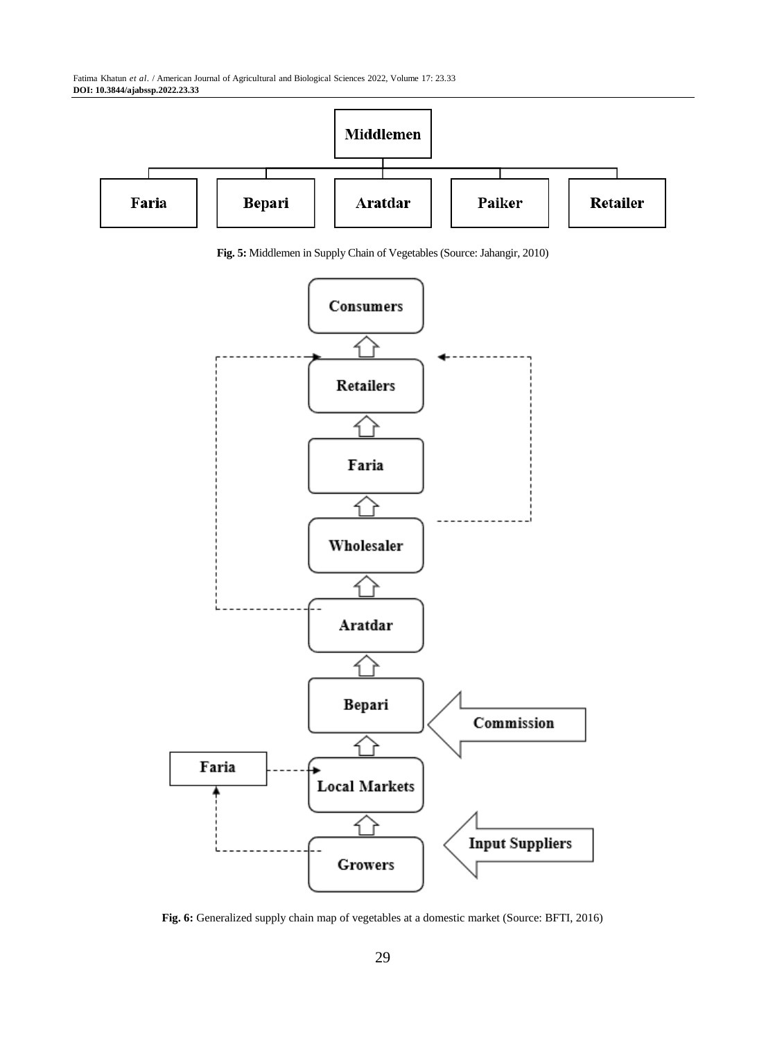Fatima Khatun *et al*. / American Journal of Agricultural and Biological Sciences 2022, Volume 17: 23.33 **DOI: 10.3844/ajabssp.2022.23.33**



**Fig. 5:** Middlemen in Supply Chain of Vegetables (Source: Jahangir, 2010)



**Fig. 6:** Generalized supply chain map of vegetables at a domestic market (Source: BFTI, 2016)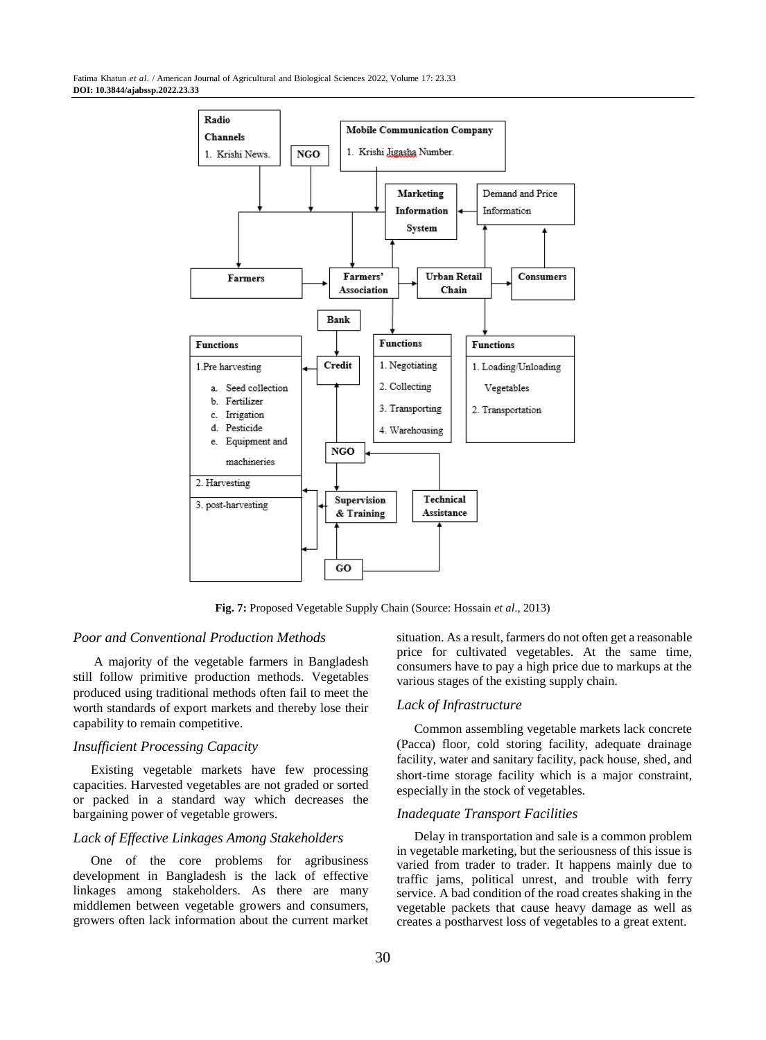

**Fig. 7:** Proposed Vegetable Supply Chain (Source: Hossain *et al*., 2013)

#### *Poor and Conventional Production Methods*

A majority of the vegetable farmers in Bangladesh still follow primitive production methods. Vegetables produced using traditional methods often fail to meet the worth standards of export markets and thereby lose their capability to remain competitive.

#### *Insufficient Processing Capacity*

Existing vegetable markets have few processing capacities. Harvested vegetables are not graded or sorted or packed in a standard way which decreases the bargaining power of vegetable growers.

# *Lack of Effective Linkages Among Stakeholders*

One of the core problems for agribusiness development in Bangladesh is the lack of effective linkages among stakeholders. As there are many middlemen between vegetable growers and consumers, growers often lack information about the current market situation. As a result, farmers do not often get a reasonable price for cultivated vegetables. At the same time, consumers have to pay a high price due to markups at the various stages of the existing supply chain.

# *Lack of Infrastructure*

Common assembling vegetable markets lack concrete (Pacca) floor, cold storing facility, adequate drainage facility, water and sanitary facility, pack house, shed, and short-time storage facility which is a major constraint, especially in the stock of vegetables.

#### *Inadequate Transport Facilities*

Delay in transportation and sale is a common problem in vegetable marketing, but the seriousness of this issue is varied from trader to trader. It happens mainly due to traffic jams, political unrest, and trouble with ferry service. A bad condition of the road creates shaking in the vegetable packets that cause heavy damage as well as creates a postharvest loss of vegetables to a great extent.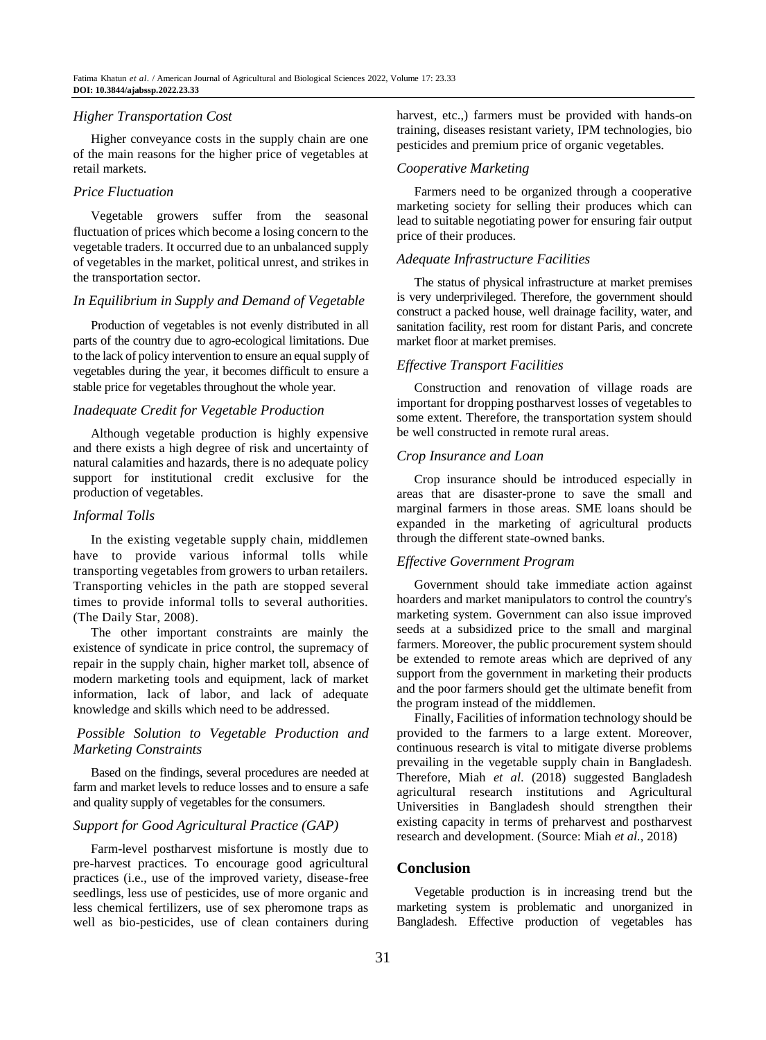#### *Higher Transportation Cost*

Higher conveyance costs in the supply chain are one of the main reasons for the higher price of vegetables at retail markets.

#### *Price Fluctuation*

Vegetable growers suffer from the seasonal fluctuation of prices which become a losing concern to the vegetable traders. It occurred due to an unbalanced supply of vegetables in the market, political unrest, and strikes in the transportation sector.

# *In Equilibrium in Supply and Demand of Vegetable*

Production of vegetables is not evenly distributed in all parts of the country due to agro-ecological limitations. Due to the lack of policy intervention to ensure an equal supply of vegetables during the year, it becomes difficult to ensure a stable price for vegetables throughout the whole year.

# *Inadequate Credit for Vegetable Production*

Although vegetable production is highly expensive and there exists a high degree of risk and uncertainty of natural calamities and hazards, there is no adequate policy support for institutional credit exclusive for the production of vegetables.

# *Informal Tolls*

In the existing vegetable supply chain, middlemen have to provide various informal tolls while transporting vegetables from growers to urban retailers. Transporting vehicles in the path are stopped several times to provide informal tolls to several authorities. (The Daily Star, 2008).

The other important constraints are mainly the existence of syndicate in price control, the supremacy of repair in the supply chain, higher market toll, absence of modern marketing tools and equipment, lack of market information, lack of labor, and lack of adequate knowledge and skills which need to be addressed.

# *Possible Solution to Vegetable Production and Marketing Constraints*

Based on the findings, several procedures are needed at farm and market levels to reduce losses and to ensure a safe and quality supply of vegetables for the consumers.

# *Support for Good Agricultural Practice (GAP)*

Farm-level postharvest misfortune is mostly due to pre-harvest practices. To encourage good agricultural practices (i.e., use of the improved variety, disease-free seedlings, less use of pesticides, use of more organic and less chemical fertilizers, use of sex pheromone traps as well as bio-pesticides, use of clean containers during harvest, etc.,) farmers must be provided with hands-on training, diseases resistant variety, IPM technologies, bio pesticides and premium price of organic vegetables.

#### *Cooperative Marketing*

Farmers need to be organized through a cooperative marketing society for selling their produces which can lead to suitable negotiating power for ensuring fair output price of their produces.

## *Adequate Infrastructure Facilities*

The status of physical infrastructure at market premises is very underprivileged. Therefore, the government should construct a packed house, well drainage facility, water, and sanitation facility, rest room for distant Paris, and concrete market floor at market premises.

## *Effective Transport Facilities*

Construction and renovation of village roads are important for dropping postharvest losses of vegetables to some extent. Therefore, the transportation system should be well constructed in remote rural areas.

#### *Crop Insurance and Loan*

Crop insurance should be introduced especially in areas that are disaster-prone to save the small and marginal farmers in those areas. SME loans should be expanded in the marketing of agricultural products through the different state-owned banks.

# *Effective Government Program*

Government should take immediate action against hoarders and market manipulators to control the country's marketing system. Government can also issue improved seeds at a subsidized price to the small and marginal farmers. Moreover, the public procurement system should be extended to remote areas which are deprived of any support from the government in marketing their products and the poor farmers should get the ultimate benefit from the program instead of the middlemen.

Finally, Facilities of information technology should be provided to the farmers to a large extent. Moreover, continuous research is vital to mitigate diverse problems prevailing in the vegetable supply chain in Bangladesh. Therefore, Miah *et al*. (2018) suggested Bangladesh agricultural research institutions and Agricultural Universities in Bangladesh should strengthen their existing capacity in terms of preharvest and postharvest research and development. (Source: Miah *et al.,* 2018)

# **Conclusion**

Vegetable production is in increasing trend but the marketing system is problematic and unorganized in Bangladesh. Effective production of vegetables has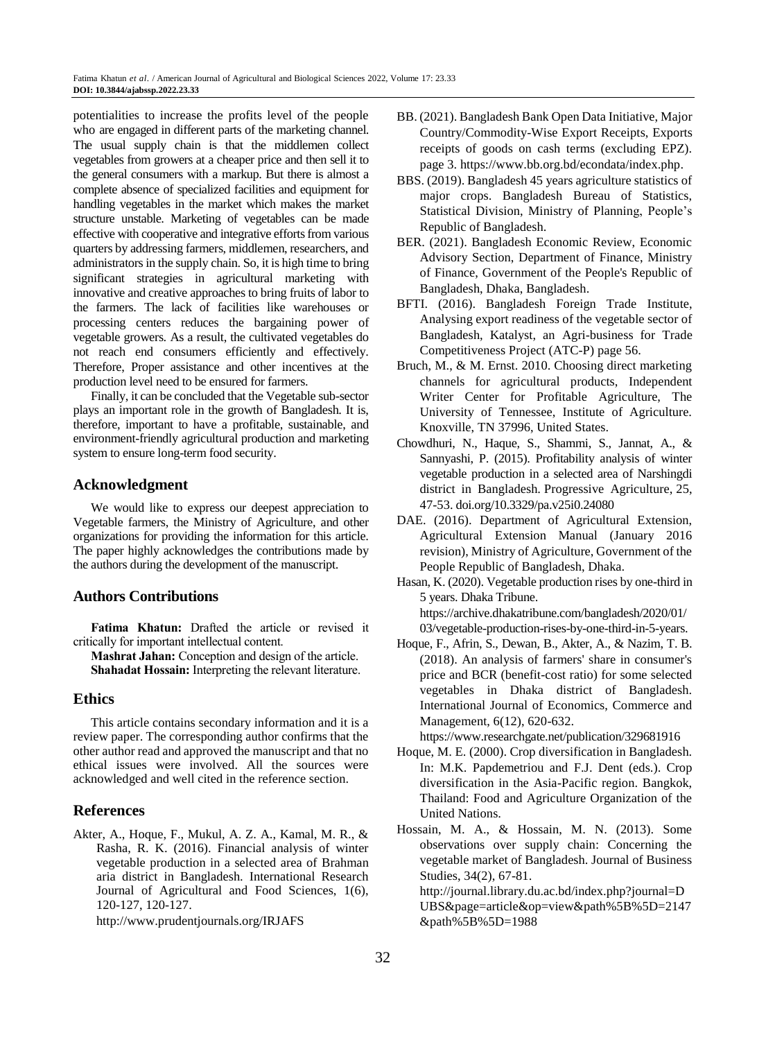potentialities to increase the profits level of the people who are engaged in different parts of the marketing channel. The usual supply chain is that the middlemen collect vegetables from growers at a cheaper price and then sell it to the general consumers with a markup. But there is almost a complete absence of specialized facilities and equipment for handling vegetables in the market which makes the market structure unstable. Marketing of vegetables can be made effective with cooperative and integrative efforts from various quarters by addressing farmers, middlemen, researchers, and administrators in the supply chain. So, it is high time to bring significant strategies in agricultural marketing with innovative and creative approaches to bring fruits of labor to the farmers. The lack of facilities like warehouses or processing centers reduces the bargaining power of vegetable growers. As a result, the cultivated vegetables do not reach end consumers efficiently and effectively. Therefore, Proper assistance and other incentives at the production level need to be ensured for farmers.

Finally, it can be concluded that the Vegetable sub-sector plays an important role in the growth of Bangladesh. It is, therefore, important to have a profitable, sustainable, and environment-friendly agricultural production and marketing system to ensure long-term food security.

# **Acknowledgment**

We would like to express our deepest appreciation to Vegetable farmers, the Ministry of Agriculture, and other organizations for providing the information for this article. The paper highly acknowledges the contributions made by the authors during the development of the manuscript.

# **Authors Contributions**

**Fatima Khatun:** Drafted the article or revised it critically for important intellectual content.

**Mashrat Jahan:** Conception and design of the article. **Shahadat Hossain:** Interpreting the relevant literature.

# **Ethics**

This article contains secondary information and it is a review paper. The corresponding author confirms that the other author read and approved the manuscript and that no ethical issues were involved. All the sources were acknowledged and well cited in the reference section.

# **References**

Akter, A., Hoque, F., Mukul, A. Z. A., Kamal, M. R., & Rasha, R. K. (2016). Financial analysis of winter vegetable production in a selected area of Brahman aria district in Bangladesh. International Research Journal of Agricultural and Food Sciences, 1(6), 120-127, 120-127.

http://www.prudentjournals.org/IRJAFS

- BB. (2021). Bangladesh Bank Open Data Initiative, Major Country/Commodity-Wise Export Receipts, Exports receipts of goods on cash terms (excluding EPZ). page 3. https://www.bb.org.bd/econdata/index.php.
- BBS. (2019). Bangladesh 45 years agriculture statistics of major crops. Bangladesh Bureau of Statistics, Statistical Division, Ministry of Planning, People's Republic of Bangladesh.
- BER. (2021). Bangladesh Economic Review, Economic Advisory Section, Department of Finance, Ministry of Finance, Government of the People's Republic of Bangladesh, Dhaka, Bangladesh.
- BFTI. (2016). Bangladesh Foreign Trade Institute, Analysing export readiness of the vegetable sector of Bangladesh, Katalyst, an Agri-business for Trade Competitiveness Project (ATC-P) page 56.
- Bruch, M., & M. Ernst. 2010. Choosing direct marketing channels for agricultural products, Independent Writer Center for Profitable Agriculture, The University of Tennessee, Institute of Agriculture. Knoxville, TN 37996, United States.
- Chowdhuri, N., Haque, S., Shammi, S., Jannat, A., & Sannyashi, P. (2015). Profitability analysis of winter vegetable production in a selected area of Narshingdi district in Bangladesh. Progressive Agriculture, 25, 47-53[. doi.org/10.3329/pa.v25i0.24080](https://doi.org/10.3329/pa.v25i0.24080)
- DAE. (2016). Department of Agricultural Extension, Agricultural Extension Manual (January 2016 revision), Ministry of Agriculture, Government of the People Republic of Bangladesh, Dhaka.
- Hasan, K. (2020). Vegetable production rises by one-third in 5 years. Dhaka Tribune. https://archive.dhakatribune.com/bangladesh/2020/01/ 03/vegetable-production-rises-by-one-third-in-5-years.
- Hoque, F., Afrin, S., Dewan, B., Akter, A., & Nazim, T. B. (2018). An analysis of farmers' share in consumer's price and BCR (benefit-cost ratio) for some selected vegetables in Dhaka district of Bangladesh. International Journal of Economics, Commerce and Management, 6(12), 620-632.
- https://www.researchgate.net/publication/329681916 Hoque, M. E. (2000). Crop diversification in Bangladesh. In: M.K. Papdemetriou and F.J. Dent (eds.). Crop diversification in the Asia-Pacific region. Bangkok, Thailand: Food and Agriculture Organization of the United Nations.
- Hossain, M. A., & Hossain, M. N. (2013). Some observations over supply chain: Concerning the vegetable market of Bangladesh. Journal of Business Studies, 34(2), 67-81. http://journal.library.du.ac.bd/index.php?journal=D

UBS&page=article&op=view&path%5B%5D=2147 &path%5B%5D=1988